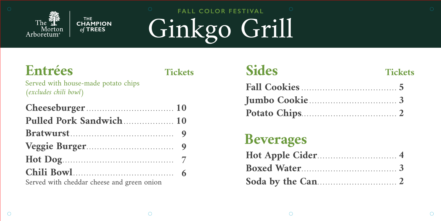### **Tickets**

|                |  |  | . |  |  |  |  |              |  |
|----------------|--|--|---|--|--|--|--|--------------|--|
|                |  |  |   |  |  |  |  | . <b>.</b> . |  |
| nd green onion |  |  |   |  |  |  |  |              |  |

| Cheeseburger                               |
|--------------------------------------------|
| Pulled Pork Sandwich                       |
|                                            |
| Veggie Burger                              |
|                                            |
|                                            |
| Served with cheddar cheese and green onion |

## **Sides Fall Cookies . . . . . . . . . . . . . . . . . . . . . . . . . . . . . . . . . . . . Jumbo Cookie . . . . . . . . . . . . . . . . . . . . . . . . . . . . . . . . . Potato Chips. . . . . . . . . . . . . . . . . . . . . . . . . . . . . . . . . . . . 2**

**Hot Apple Cider. . . . . . . . . . . . . . . . . . . . . . . . . . . . . . 4 Boxed Water.................................. Soda by the Can. . . . . . . . . . . . . . . . . . . . . . . . . . . . . . 2Beverages**

# **Tickets 5 3**

Served with house-made potato chips *(excludes chili bowl)*

# **FALL COLOR FESTIVAL** Ginkgo Grill





### **Entrées**

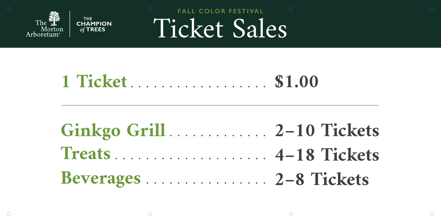

THE CHAMPION of TREES

# **FALL COLOR FESTIVAL** Ticket Sales

# **2–10 Tickets Ginkgo Grill . . . . . . . . . . . . . 4–18 Tickets 2–8 Tickets**





 $\bigcirc$ 

 $\bigcirc$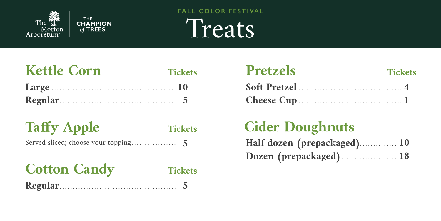## **Half dozen (prepackaged). . . . . . . . . . . . . . 10 Dozen (prepackaged). . . . . . . . . . . . . . . . . . . . . 18 Cider Doughnuts**

## **FALL COLOR FESTIVAL** Treats

## **Pretzels Soft Pretzel . . . . . . . . . . . . . . . . . . . . . . . . . . . . . . . . . . . . . . . 4 Cheese Cup . . . . . . . . . . . . . . . . . . . . . . . . . . . . . . . . . . . . . . . 1**

### **Taffy Apple Tickets** Served sliced; choose your topp





## Cotton Candy Tickets **Regular. . . . . . . . . . . . . . . . . . . . . . . . . . . . . . . . . . . . . . . . . . . . 5**





# **10 Large . . . . . . . . . . . . . . . . . . . . . . . . . . . . . . . . . . . . . . . . . . . . . . .**

# **Kettle Corn Tickets 5 Regular. . . . . . . . . . . . . . . . . . . . . . . . . . . . . . . . . . . . . . . . . . . .**

| ping |  |  |  |  |  |  |  |  |  |
|------|--|--|--|--|--|--|--|--|--|
|      |  |  |  |  |  |  |  |  |  |